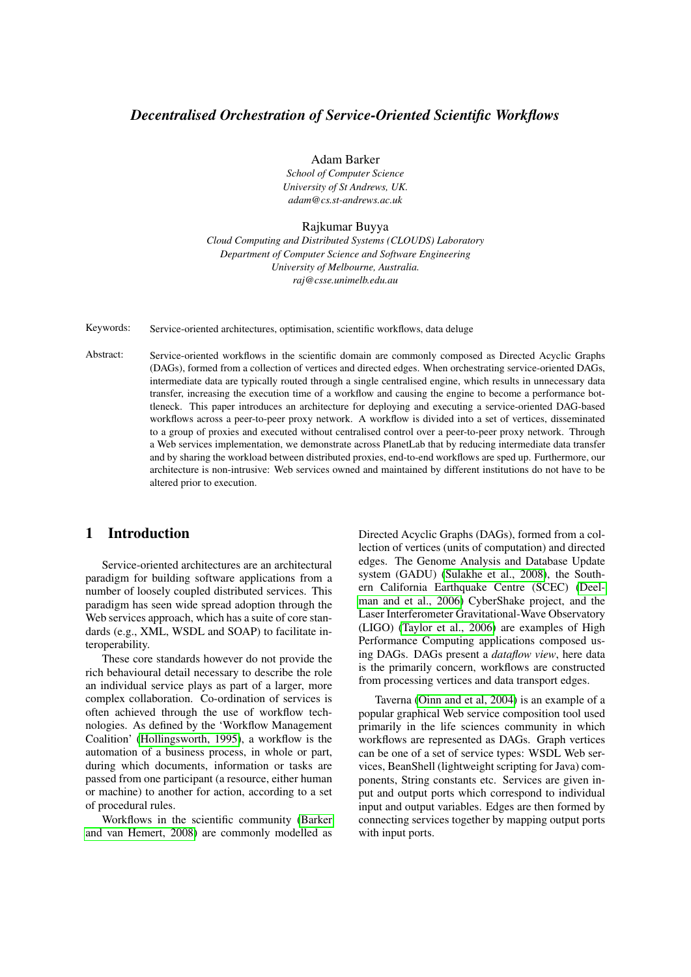### *Decentralised Orchestration of Service-Oriented Scientific Workflows*

Adam Barker

*School of Computer Science University of St Andrews, UK. adam@cs.st-andrews.ac.uk*

Rajkumar Buyya

*Cloud Computing and Distributed Systems (CLOUDS) Laboratory Department of Computer Science and Software Engineering University of Melbourne, Australia. raj@csse.unimelb.edu.au*

Keywords: Service-oriented architectures, optimisation, scientific workflows, data deluge

Abstract: Service-oriented workflows in the scientific domain are commonly composed as Directed Acyclic Graphs (DAGs), formed from a collection of vertices and directed edges. When orchestrating service-oriented DAGs, intermediate data are typically routed through a single centralised engine, which results in unnecessary data transfer, increasing the execution time of a workflow and causing the engine to become a performance bottleneck. This paper introduces an architecture for deploying and executing a service-oriented DAG-based workflows across a peer-to-peer proxy network. A workflow is divided into a set of vertices, disseminated to a group of proxies and executed without centralised control over a peer-to-peer proxy network. Through a Web services implementation, we demonstrate across PlanetLab that by reducing intermediate data transfer and by sharing the workload between distributed proxies, end-to-end workflows are sped up. Furthermore, our architecture is non-intrusive: Web services owned and maintained by different institutions do not have to be altered prior to execution.

## 1 Introduction

Service-oriented architectures are an architectural paradigm for building software applications from a number of loosely coupled distributed services. This paradigm has seen wide spread adoption through the Web services approach, which has a suite of core standards (e.g., XML, WSDL and SOAP) to facilitate interoperability.

These core standards however do not provide the rich behavioural detail necessary to describe the role an individual service plays as part of a larger, more complex collaboration. Co-ordination of services is often achieved through the use of workflow technologies. As defined by the 'Workflow Management Coalition' [\(Hollingsworth, 1995\)](#page-9-0), a workflow is the automation of a business process, in whole or part, during which documents, information or tasks are passed from one participant (a resource, either human or machine) to another for action, according to a set of procedural rules.

<span id="page-0-0"></span>Workflows in the scientific community [\(Barker](#page-9-1) [and van Hemert, 2008\)](#page-9-1) are commonly modelled as

Directed Acyclic Graphs (DAGs), formed from a collection of vertices (units of computation) and directed edges. The Genome Analysis and Database Update system (GADU) [\(Sulakhe et al., 2008\)](#page-9-2), the Southern California Earthquake Centre (SCEC) [\(Deel](#page-9-3)[man and et al., 2006\)](#page-9-3) CyberShake project, and the Laser Interferometer Gravitational-Wave Observatory (LIGO) [\(Taylor et al., 2006\)](#page-9-4) are examples of High Performance Computing applications composed using DAGs. DAGs present a *dataflow view*, here data is the primarily concern, workflows are constructed from processing vertices and data transport edges.

Taverna [\(Oinn and et al, 2004\)](#page-9-5) is an example of a popular graphical Web service composition tool used primarily in the life sciences community in which workflows are represented as DAGs. Graph vertices can be one of a set of service types: WSDL Web services, BeanShell (lightweight scripting for Java) components, String constants etc. Services are given input and output ports which correspond to individual input and output variables. Edges are then formed by connecting services together by mapping output ports with input ports.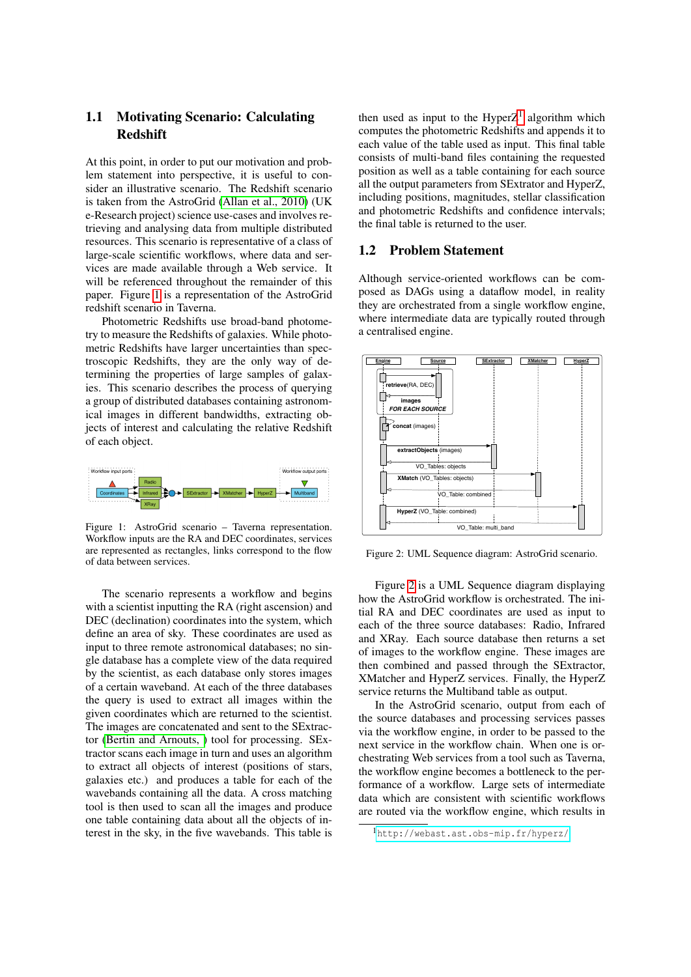## 1.1 Motivating Scenario: Calculating Redshift

At this point, in order to put our motivation and problem statement into perspective, it is useful to consider an illustrative scenario. The Redshift scenario is taken from the AstroGrid [\(Allan et al., 2010\)](#page-9-6) (UK e-Research project) science use-cases and involves retrieving and analysing data from multiple distributed resources. This scenario is representative of a class of large-scale scientific workflows, where data and services are made available through a Web service. It will be referenced throughout the remainder of this paper. Figure [1](#page-1-0) is a representation of the AstroGrid redshift scenario in Taverna.

Photometric Redshifts use broad-band photometry to measure the Redshifts of galaxies. While photometric Redshifts have larger uncertainties than spectroscopic Redshifts, they are the only way of determining the properties of large samples of galaxies. This scenario describes the process of querying a group of distributed databases containing astronomical images in different bandwidths, extracting objects of interest and calculating the relative Redshift of each object.

<span id="page-1-0"></span>

Figure 1: AstroGrid scenario – Taverna representation. Workflow inputs are the RA and DEC coordinates, services are represented as rectangles, links correspond to the flow of data between services.

The scenario represents a workflow and begins with a scientist inputting the RA (right ascension) and DEC (declination) coordinates into the system, which define an area of sky. These coordinates are used as input to three remote astronomical databases; no single database has a complete view of the data required by the scientist, as each database only stores images of a certain waveband. At each of the three databases the query is used to extract all images within the given coordinates which are returned to the scientist. The images are concatenated and sent to the SExtractor [\(Bertin and Arnouts, \)](#page-9-7) tool for processing. SExtractor scans each image in turn and uses an algorithm to extract all objects of interest (positions of stars, galaxies etc.) and produces a table for each of the wavebands containing all the data. A cross matching tool is then used to scan all the images and produce one table containing data about all the objects of interest in the sky, in the five wavebands. This table is

then used as input to the Hyper $Z^1$  $Z^1$  algorithm which computes the photometric Redshifts and appends it to each value of the table used as input. This final table consists of multi-band files containing the requested position as well as a table containing for each source all the output parameters from SExtrator and HyperZ, including positions, magnitudes, stellar classification and photometric Redshifts and confidence intervals; the final table is returned to the user.

### 1.2 Problem Statement

Although service-oriented workflows can be composed as DAGs using a dataflow model, in reality they are orchestrated from a single workflow engine, where intermediate data are typically routed through a centralised engine.

<span id="page-1-2"></span>

Figure 2: UML Sequence diagram: AstroGrid scenario.

Figure [2](#page-1-2) is a UML Sequence diagram displaying how the AstroGrid workflow is orchestrated. The initial RA and DEC coordinates are used as input to each of the three source databases: Radio, Infrared and XRay. Each source database then returns a set of images to the workflow engine. These images are then combined and passed through the SExtractor, XMatcher and HyperZ services. Finally, the HyperZ service returns the Multiband table as output.

In the AstroGrid scenario, output from each of the source databases and processing services passes via the workflow engine, in order to be passed to the next service in the workflow chain. When one is orchestrating Web services from a tool such as Taverna, the workflow engine becomes a bottleneck to the performance of a workflow. Large sets of intermediate data which are consistent with scientific workflows are routed via the workflow engine, which results in

<span id="page-1-1"></span><sup>1</sup><http://webast.ast.obs-mip.fr/hyperz/>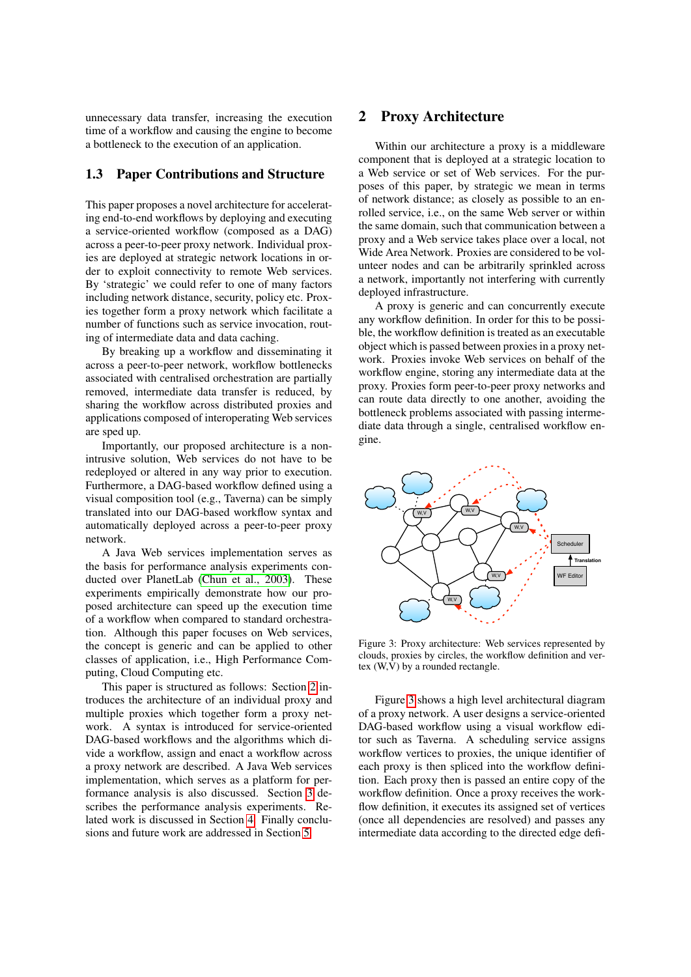unnecessary data transfer, increasing the execution time of a workflow and causing the engine to become a bottleneck to the execution of an application.

#### 1.3 Paper Contributions and Structure

This paper proposes a novel architecture for accelerating end-to-end workflows by deploying and executing a service-oriented workflow (composed as a DAG) across a peer-to-peer proxy network. Individual proxies are deployed at strategic network locations in order to exploit connectivity to remote Web services. By 'strategic' we could refer to one of many factors including network distance, security, policy etc. Proxies together form a proxy network which facilitate a number of functions such as service invocation, routing of intermediate data and data caching.

By breaking up a workflow and disseminating it across a peer-to-peer network, workflow bottlenecks associated with centralised orchestration are partially removed, intermediate data transfer is reduced, by sharing the workflow across distributed proxies and applications composed of interoperating Web services are sped up.

Importantly, our proposed architecture is a nonintrusive solution, Web services do not have to be redeployed or altered in any way prior to execution. Furthermore, a DAG-based workflow defined using a visual composition tool (e.g., Taverna) can be simply translated into our DAG-based workflow syntax and automatically deployed across a peer-to-peer proxy network.

A Java Web services implementation serves as the basis for performance analysis experiments conducted over PlanetLab [\(Chun et al., 2003\)](#page-9-8). These experiments empirically demonstrate how our proposed architecture can speed up the execution time of a workflow when compared to standard orchestration. Although this paper focuses on Web services, the concept is generic and can be applied to other classes of application, i.e., High Performance Computing, Cloud Computing etc.

This paper is structured as follows: Section [2](#page-2-0) introduces the architecture of an individual proxy and multiple proxies which together form a proxy network. A syntax is introduced for service-oriented DAG-based workflows and the algorithms which divide a workflow, assign and enact a workflow across a proxy network are described. A Java Web services implementation, which serves as a platform for performance analysis is also discussed. Section [3](#page-6-0) describes the performance analysis experiments. Related work is discussed in Section [4.](#page-8-0) Finally conclusions and future work are addressed in Section [5.](#page-8-1)

### <span id="page-2-0"></span>2 Proxy Architecture

Within our architecture a proxy is a middleware component that is deployed at a strategic location to a Web service or set of Web services. For the purposes of this paper, by strategic we mean in terms of network distance; as closely as possible to an enrolled service, i.e., on the same Web server or within the same domain, such that communication between a proxy and a Web service takes place over a local, not Wide Area Network. Proxies are considered to be volunteer nodes and can be arbitrarily sprinkled across a network, importantly not interfering with currently deployed infrastructure.

A proxy is generic and can concurrently execute any workflow definition. In order for this to be possible, the workflow definition is treated as an executable object which is passed between proxies in a proxy network. Proxies invoke Web services on behalf of the workflow engine, storing any intermediate data at the proxy. Proxies form peer-to-peer proxy networks and can route data directly to one another, avoiding the bottleneck problems associated with passing intermediate data through a single, centralised workflow engine.

<span id="page-2-1"></span>

Figure 3: Proxy architecture: Web services represented by clouds, proxies by circles, the workflow definition and vertex (W,V) by a rounded rectangle.

Figure [3](#page-2-1) shows a high level architectural diagram of a proxy network. A user designs a service-oriented DAG-based workflow using a visual workflow editor such as Taverna. A scheduling service assigns workflow vertices to proxies, the unique identifier of each proxy is then spliced into the workflow definition. Each proxy then is passed an entire copy of the workflow definition. Once a proxy receives the workflow definition, it executes its assigned set of vertices (once all dependencies are resolved) and passes any intermediate data according to the directed edge defi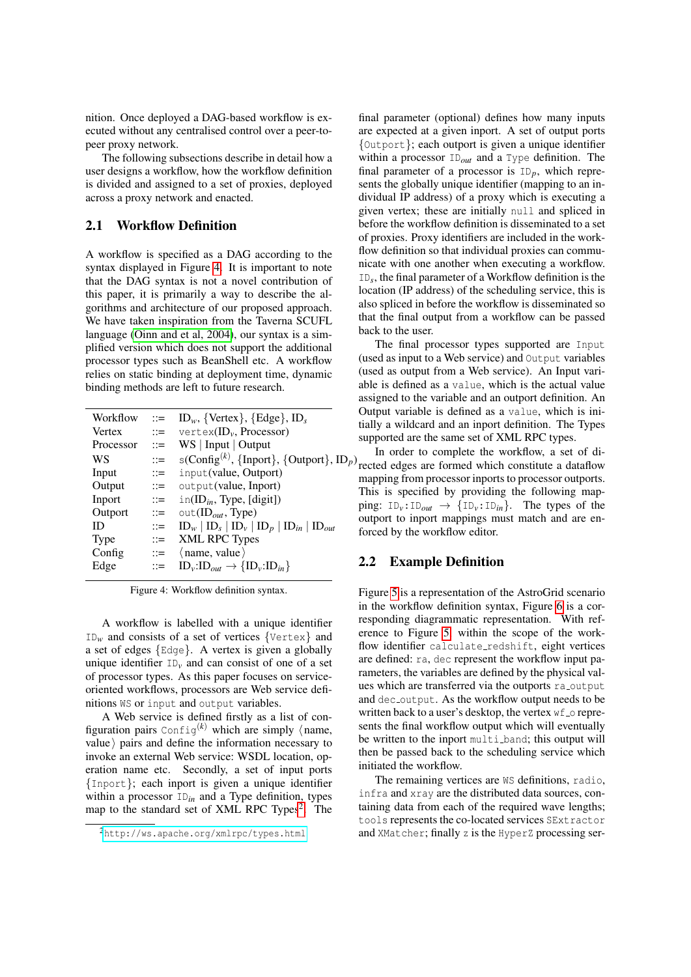nition. Once deployed a DAG-based workflow is executed without any centralised control over a peer-topeer proxy network.

The following subsections describe in detail how a user designs a workflow, how the workflow definition is divided and assigned to a set of proxies, deployed across a proxy network and enacted.

### 2.1 Workflow Definition

A workflow is specified as a DAG according to the syntax displayed in Figure [4.](#page-3-0) It is important to note that the DAG syntax is not a novel contribution of this paper, it is primarily a way to describe the algorithms and architecture of our proposed approach. We have taken inspiration from the Taverna SCUFL language [\(Oinn and et al, 2004\)](#page-9-5), our syntax is a simplified version which does not support the additional processor types such as BeanShell etc. A workflow relies on static binding at deployment time, dynamic binding methods are left to future research.

<span id="page-3-0"></span>

| Workflow  | $\mathbf{r} =$            | $ID_w$ , {Vertex}, {Edge}, $ID_s$                                                        |
|-----------|---------------------------|------------------------------------------------------------------------------------------|
| Vertex    | $\mathbb{R}^2$            | $vertex(ID_v, Processor)$                                                                |
| Processor | $\mathrel{\mathop:}=$     | WS   Input   Output                                                                      |
| WS        | $\mathbf{r} =$            | $s(Config(k), {Import}, {Output}, IDp)$                                                  |
| Input     | $\mathrel{\mathop:}=$     | input(value, Outport)                                                                    |
| Output    | $\mathbb{R}^{\mathbb{Z}}$ | output(value, Inport)                                                                    |
| Inport    | $\mathbb{C} = \square$    | $in(ID_{in}, Type, [digit])$                                                             |
| Outport   |                           | $\mathrel{\mathop:}= \quad \mathsf{out}(\mathsf{ID}_{out}, \mathsf{Type})$               |
| ID        | $\mathbb{R}^{\mathbb{Z}}$ | $ID_w   ID_s   ID_v   ID_p   ID_{in}   ID_{out}$                                         |
| Type      | $\mathbb{R}^{\mathbb{Z}}$ | <b>XML RPC Types</b>                                                                     |
| Config    | $\mathrel{\mathop:}=$     | $\langle$ name, value $\rangle$                                                          |
| Edge      |                           | $\therefore = \text{ID}_v: \text{ID}_{out} \rightarrow \{\text{ID}_v: \text{ID}_{in}\}\$ |
|           |                           |                                                                                          |

Figure 4: Workflow definition syntax.

A workflow is labelled with a unique identifier ID<sub>*w*</sub> and consists of a set of vertices  $\{Vertex\}$  and a set of edges {Edge}. A vertex is given a globally unique identifier  $ID<sub>v</sub>$  and can consist of one of a set of processor types. As this paper focuses on serviceoriented workflows, processors are Web service definitions WS or input and output variables.

A Web service is defined firstly as a list of configuration pairs Config<sup>(k)</sup> which are simply  $\langle$  name, value  $\rangle$  pairs and define the information necessary to invoke an external Web service: WSDL location, operation name etc. Secondly, a set of input ports {Inport}; each inport is given a unique identifier within a processor ID*in* and a Type definition, types map to the standard set of XML RPC Types<sup>2</sup>. The

final parameter (optional) defines how many inputs are expected at a given inport. A set of output ports {Outport}; each outport is given a unique identifier within a processor ID*out* and a Type definition. The final parameter of a processor is  $ID_p$ , which represents the globally unique identifier (mapping to an individual IP address) of a proxy which is executing a given vertex; these are initially null and spliced in before the workflow definition is disseminated to a set of proxies. Proxy identifiers are included in the workflow definition so that individual proxies can communicate with one another when executing a workflow. ID*s*, the final parameter of a Workflow definition is the location (IP address) of the scheduling service, this is also spliced in before the workflow is disseminated so that the final output from a workflow can be passed back to the user.

The final processor types supported are Input (used as input to a Web service) and Output variables (used as output from a Web service). An Input variable is defined as a value, which is the actual value assigned to the variable and an outport definition. An Output variable is defined as a value, which is initially a wildcard and an inport definition. The Types supported are the same set of XML RPC types.

In order to complete the workflow, a set of di- $P_p$ ) rected edges are formed which constitute a dataflow mapping from processor inports to processor outports. This is specified by providing the following mapping:  $ID_v: ID_{out} \rightarrow \{ID_v: ID_{in}\}.$  The types of the outport to inport mappings must match and are enforced by the workflow editor.

#### 2.2 Example Definition

Figure [5](#page-4-0) is a representation of the AstroGrid scenario in the workflow definition syntax, Figure [6](#page-4-1) is a corresponding diagrammatic representation. With reference to Figure [5,](#page-4-0) within the scope of the workflow identifier calculate\_redshift, eight vertices are defined: ra, dec represent the workflow input parameters, the variables are defined by the physical values which are transferred via the outports ra\_output and dec\_output. As the workflow output needs to be written back to a user's desktop, the vertex  $wf$  or represents the final workflow output which will eventually be written to the inport multi band; this output will then be passed back to the scheduling service which initiated the workflow.

The remaining vertices are WS definitions, radio, infra and xray are the distributed data sources, containing data from each of the required wave lengths; tools represents the co-located services SExtractor and XMatcher; finally z is the HyperZ processing ser-

<span id="page-3-1"></span><sup>2</sup><http://ws.apache.org/xmlrpc/types.html>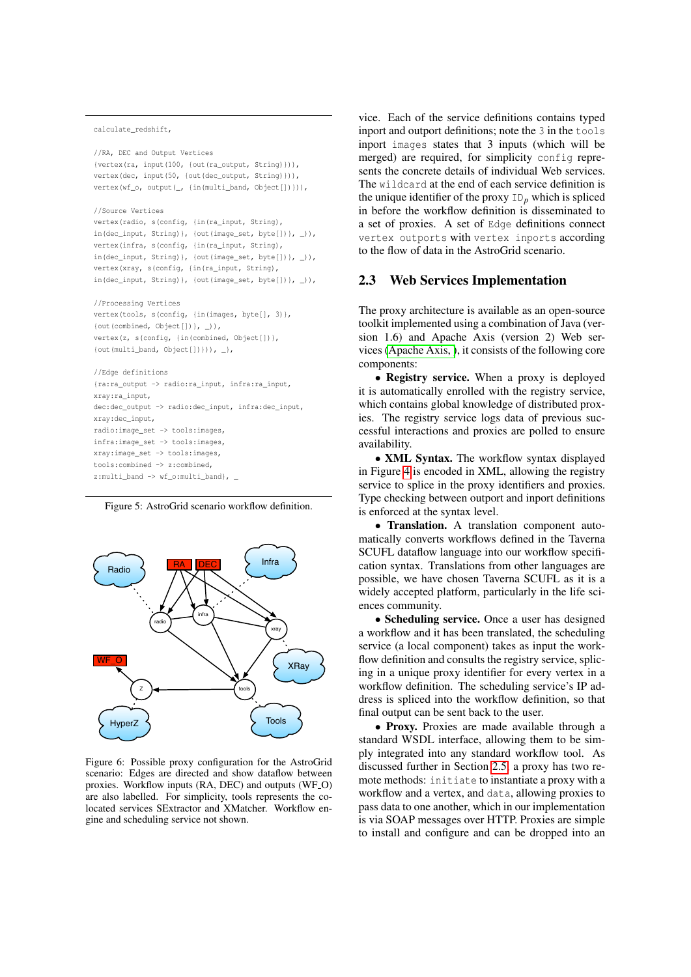<span id="page-4-0"></span>calculate\_redshift,

```
//RA, DEC and Output Vertices
{ \{ \text{vertex}(\text{ra}, \text{ input}(100, \text{ {out}(\text{ra\_output}, \text{String}) \} ) \} }vertex(dec, input(50, {out(dec_output, String)})),
vertex(wf_o, output(_, {in(multi_band, Object[])})),
//Source Vertices
vertex(radio, s(config, {in(ra_input, String),
in(dec_input, String)}, {out(image_set, byte[])}, _)),
vertex(infra, s(config, {in(ra_input, String),
\text{in}(dec\text{\_input}, \text{String}), \{\text{out}(image\_set, \text{byte}[])\}, \text{\_}),
vertex(xray, s(config, {in(ra_input, String),
in(dec_input, String)}, {out(image_set, byte[])}, _)),
//Processing Vertices
vertex(tools, s(config, {in(images, byte[], 3)},
{out(combined, Object[])}, _)),
vertex(z, s(config, {in(combined, Object[])},
{out(multi_band, Object[])})), \rightarrow,
//Edge definitions
{ra:ra_output -> radio:ra_input, infra:ra_input,
xray:ra_input,
dec:dec_output -> radio:dec_input, infra:dec_input,
xray:dec_input,
radio:image_set -> tools:images,
infra:image_set -> tools:images,
xray:image_set -> tools:images,
```
Figure 5: AstroGrid scenario workflow definition.

tools:combined -> z:combined, z:multi\_band  $\rightarrow$  wf\_o:multi\_band}, \_

<span id="page-4-1"></span>

Figure 6: Possible proxy configuration for the AstroGrid scenario: Edges are directed and show dataflow between proxies. Workflow inputs (RA, DEC) and outputs (WF<sub>-O</sub>) are also labelled. For simplicity, tools represents the colocated services SExtractor and XMatcher. Workflow engine and scheduling service not shown.

vice. Each of the service definitions contains typed inport and outport definitions; note the 3 in the tools inport images states that 3 inputs (which will be merged) are required, for simplicity config represents the concrete details of individual Web services. The wildcard at the end of each service definition is the unique identifier of the proxy  $ID<sub>p</sub>$  which is spliced in before the workflow definition is disseminated to a set of proxies. A set of Edge definitions connect vertex outports with vertex inports according to the flow of data in the AstroGrid scenario.

### <span id="page-4-2"></span>2.3 Web Services Implementation

The proxy architecture is available as an open-source toolkit implemented using a combination of Java (version 1.6) and Apache Axis (version 2) Web services [\(Apache Axis, \)](#page-9-9), it consists of the following core components:

• Registry service. When a proxy is deployed it is automatically enrolled with the registry service, which contains global knowledge of distributed proxies. The registry service logs data of previous successful interactions and proxies are polled to ensure availability.

• XML Syntax. The workflow syntax displayed in Figure [4](#page-3-0) is encoded in XML, allowing the registry service to splice in the proxy identifiers and proxies. Type checking between outport and inport definitions is enforced at the syntax level.

• Translation. A translation component automatically converts workflows defined in the Taverna SCUFL dataflow language into our workflow specification syntax. Translations from other languages are possible, we have chosen Taverna SCUFL as it is a widely accepted platform, particularly in the life sciences community.

• Scheduling service. Once a user has designed a workflow and it has been translated, the scheduling service (a local component) takes as input the workflow definition and consults the registry service, splicing in a unique proxy identifier for every vertex in a workflow definition. The scheduling service's IP address is spliced into the workflow definition, so that final output can be sent back to the user.

• Proxy. Proxies are made available through a standard WSDL interface, allowing them to be simply integrated into any standard workflow tool. As discussed further in Section [2.5,](#page-5-0) a proxy has two remote methods: initiate to instantiate a proxy with a workflow and a vertex, and data, allowing proxies to pass data to one another, which in our implementation is via SOAP messages over HTTP. Proxies are simple to install and configure and can be dropped into an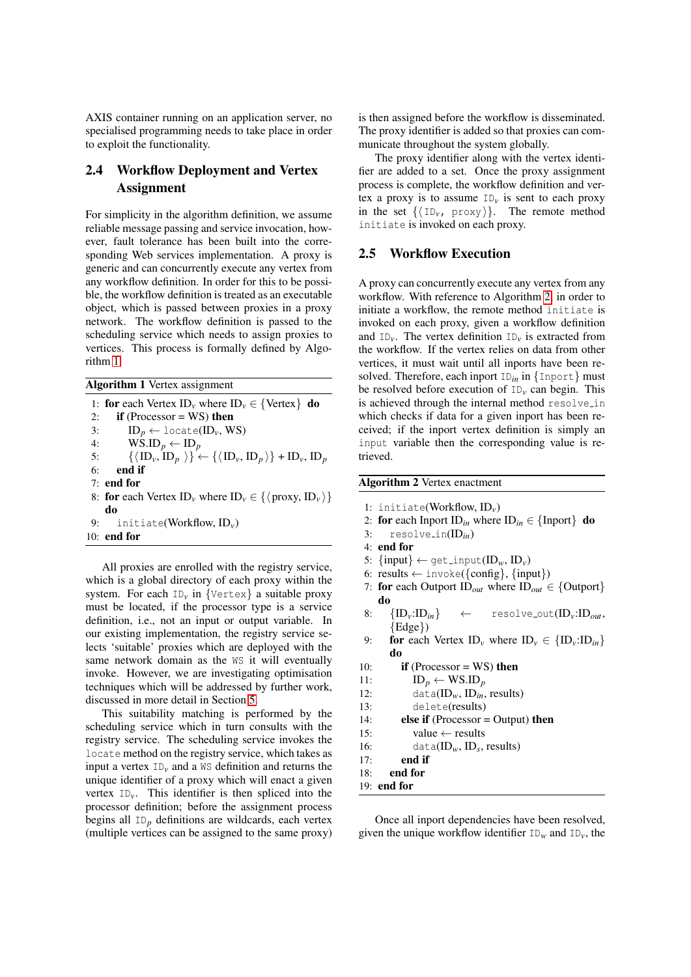AXIS container running on an application server, no specialised programming needs to take place in order to exploit the functionality.

## 2.4 Workflow Deployment and Vertex **Assignment**

For simplicity in the algorithm definition, we assume reliable message passing and service invocation, however, fault tolerance has been built into the corresponding Web services implementation. A proxy is generic and can concurrently execute any vertex from any workflow definition. In order for this to be possible, the workflow definition is treated as an executable object, which is passed between proxies in a proxy network. The workflow definition is passed to the scheduling service which needs to assign proxies to vertices. This process is formally defined by Algorithm [1.](#page-0-0)

Algorithm 1 Vertex assignment

1: **for** each Vertex  $ID_v$  where  $ID_v \in \{Vertex\}$  **do**<br>2: **if** (Processor = WS) **then**  $if$  (Processor = WS) then 3:  $ID_p \leftarrow \text{locate}(ID_v, WS)$ <br>4:  $WS.ID_n \leftarrow ID_n$ 4:  $WS.ID_p \leftarrow ID_p$ <br>5:  $\{ (ID_v, ID_p) \} \leftarrow$ 5:  $\{ {\langle \text{ID}_v, \text{ID}_p \rangle} \} \leftarrow {\{ {\langle \text{ID}_v, \text{ID}_p \rangle} } + \text{ID}_v, \text{ID}_p$ <br>6: end if end if 7: end for 8: **for** each Vertex  $ID_v$  where  $ID_v \in \{\langle \text{proxy}, ID_v \rangle\}$ do 9: initiate(Workflow, ID*v*) 10: end for

All proxies are enrolled with the registry service, which is a global directory of each proxy within the system. For each  $ID_v$  in  $\{Vertex\}$  a suitable proxy must be located, if the processor type is a service definition, i.e., not an input or output variable. In our existing implementation, the registry service selects 'suitable' proxies which are deployed with the same network domain as the WS it will eventually invoke. However, we are investigating optimisation techniques which will be addressed by further work, discussed in more detail in Section [5.](#page-8-1)

This suitability matching is performed by the scheduling service which in turn consults with the registry service. The scheduling service invokes the locate method on the registry service, which takes as input a vertex  $ID<sub>v</sub>$  and a WS definition and returns the unique identifier of a proxy which will enact a given vertex ID*v*. This identifier is then spliced into the processor definition; before the assignment process begins all  $ID<sub>p</sub>$  definitions are wildcards, each vertex (multiple vertices can be assigned to the same proxy) is then assigned before the workflow is disseminated. The proxy identifier is added so that proxies can communicate throughout the system globally.

The proxy identifier along with the vertex identifier are added to a set. Once the proxy assignment process is complete, the workflow definition and vertex a proxy is to assume  $ID<sub>v</sub>$  is sent to each proxy in the set  $\{(\text{ID}_v, \text{prox})\}$ . The remote method initiate is invoked on each proxy.

#### <span id="page-5-0"></span>2.5 Workflow Execution

A proxy can concurrently execute any vertex from any workflow. With reference to Algorithm [2,](#page-0-0) in order to initiate a workflow, the remote method initiate is invoked on each proxy, given a workflow definition and  $ID_v$ . The vertex definition  $ID_v$  is extracted from the workflow. If the vertex relies on data from other vertices, it must wait until all inports have been resolved. Therefore, each inport  $ID_{in}$  in  $\{Input\}$  must be resolved before execution of  $ID<sub>v</sub>$  can begin. This is achieved through the internal method resolve in which checks if data for a given inport has been received; if the inport vertex definition is simply an input variable then the corresponding value is retrieved.

#### Algorithm 2 Vertex enactment

- 1: initiate(Workflow, ID*v*)
- 2: **for** each Inport  $ID_{in}$  where  $ID_{in} \in \{Input\}$  **do**<br>3: resolve in( $ID_{in}$ )
- 3: resolve in(ID*in*)
- 4: end for
- 5:  $\{input\} \leftarrow \text{get\_input}(\text{ID}_w, \text{ID}_v)$
- 6: results  $\leftarrow$  invoke({config}, {input})
- 7: **for** each Outport  $ID_{out}$  where  $ID_{out} \in \{Output\}$ do
- 8:  ${ID_v: ID_{in}}$  ← resolve\_out( $ID_v: ID_{out}$ ,  ${Edge}$
- 9: **for** each Vertex  $ID_v$  where  $ID_v \in \{ID_v: ID_{in}\}\$ do
- 10: **if** (Processor = WS) then
- 11:  $ID_p \leftarrow \text{WS.ID}_p$ <br>12:  $\text{data}(\text{ID}_w, \text{ID}_m)$
- 12: data(ID*w*, ID*in*, results)
- 13: delete(results)
- 14: else if (Processor = Output) then
- 15: value ← results<br>16: data(ID<sub>u</sub> ID<sub>-</sub>
- $data(ID_w, ID_s, results)$
- 17: end if
- 18: end for
- 19: end for

Once all inport dependencies have been resolved, given the unique workflow identifier  $ID_w$  and  $ID_v$ , the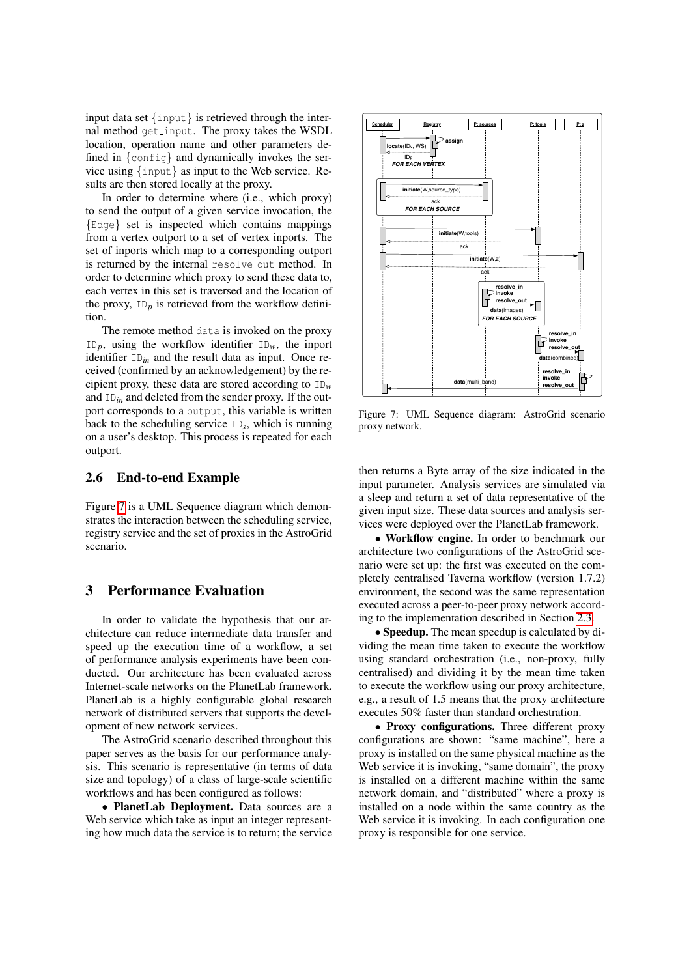input data set {input} is retrieved through the internal method get input. The proxy takes the WSDL location, operation name and other parameters defined in {config} and dynamically invokes the service using {input} as input to the Web service. Results are then stored locally at the proxy.

In order to determine where (i.e., which proxy) to send the output of a given service invocation, the {Edge} set is inspected which contains mappings from a vertex outport to a set of vertex inports. The set of inports which map to a corresponding outport is returned by the internal resolve out method. In order to determine which proxy to send these data to, each vertex in this set is traversed and the location of the proxy,  $ID_p$  is retrieved from the workflow definition.

The remote method data is invoked on the proxy  $ID_p$ , using the workflow identifier  $ID_w$ , the inport identifier  $ID_{in}$  and the result data as input. Once received (confirmed by an acknowledgement) by the recipient proxy, these data are stored according to ID*<sup>w</sup>* and ID*in* and deleted from the sender proxy. If the outport corresponds to a output, this variable is written back to the scheduling service ID*s*, which is running on a user's desktop. This process is repeated for each outport.

#### 2.6 End-to-end Example

Figure [7](#page-6-1) is a UML Sequence diagram which demonstrates the interaction between the scheduling service, registry service and the set of proxies in the AstroGrid scenario.

## <span id="page-6-0"></span>3 Performance Evaluation

In order to validate the hypothesis that our architecture can reduce intermediate data transfer and speed up the execution time of a workflow, a set of performance analysis experiments have been conducted. Our architecture has been evaluated across Internet-scale networks on the PlanetLab framework. PlanetLab is a highly configurable global research network of distributed servers that supports the development of new network services.

The AstroGrid scenario described throughout this paper serves as the basis for our performance analysis. This scenario is representative (in terms of data size and topology) of a class of large-scale scientific workflows and has been configured as follows:

• PlanetLab Deployment. Data sources are a Web service which take as input an integer representing how much data the service is to return; the service

<span id="page-6-1"></span>

Figure 7: UML Sequence diagram: AstroGrid scenario proxy network.

then returns a Byte array of the size indicated in the input parameter. Analysis services are simulated via a sleep and return a set of data representative of the given input size. These data sources and analysis services were deployed over the PlanetLab framework.

• Workflow engine. In order to benchmark our architecture two configurations of the AstroGrid scenario were set up: the first was executed on the completely centralised Taverna workflow (version 1.7.2) environment, the second was the same representation executed across a peer-to-peer proxy network according to the implementation described in Section [2.3.](#page-4-2)

• Speedup. The mean speedup is calculated by dividing the mean time taken to execute the workflow using standard orchestration (i.e., non-proxy, fully centralised) and dividing it by the mean time taken to execute the workflow using our proxy architecture, e.g., a result of 1.5 means that the proxy architecture executes 50% faster than standard orchestration.

• Proxy configurations. Three different proxy configurations are shown: "same machine", here a proxy is installed on the same physical machine as the Web service it is invoking, "same domain", the proxy is installed on a different machine within the same network domain, and "distributed" where a proxy is installed on a node within the same country as the Web service it is invoking. In each configuration one proxy is responsible for one service.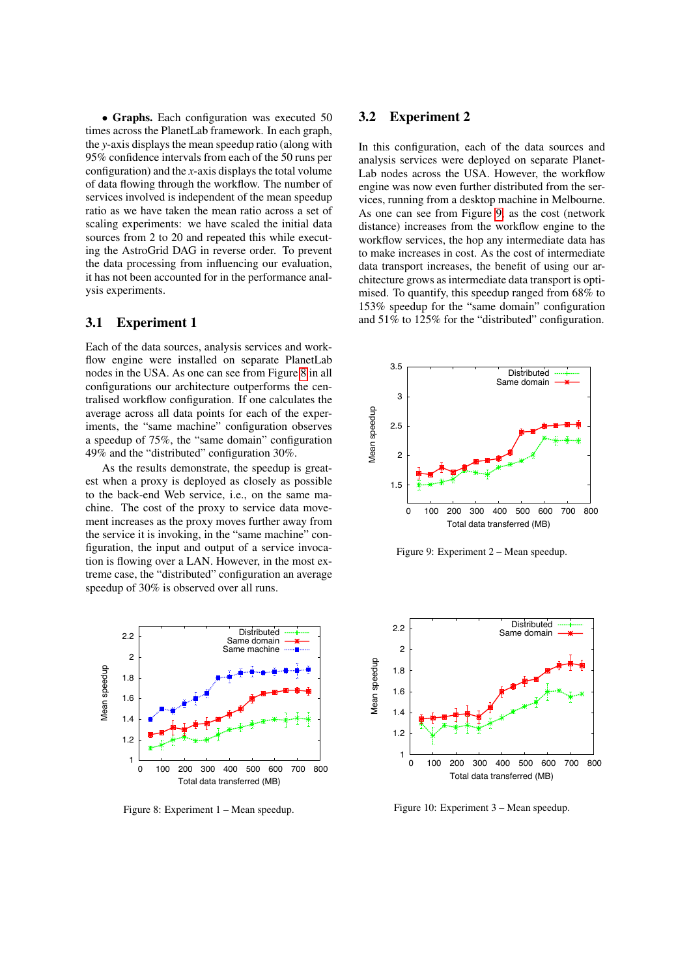• Graphs. Each configuration was executed 50 times across the PlanetLab framework. In each graph, the *y*-axis displays the mean speedup ratio (along with 95% confidence intervals from each of the 50 runs per configuration) and the *x*-axis displays the total volume of data flowing through the workflow. The number of services involved is independent of the mean speedup ratio as we have taken the mean ratio across a set of scaling experiments: we have scaled the initial data sources from 2 to 20 and repeated this while executing the AstroGrid DAG in reverse order. To prevent the data processing from influencing our evaluation, it has not been accounted for in the performance analysis experiments.

### 3.1 Experiment 1

Each of the data sources, analysis services and workflow engine were installed on separate PlanetLab nodes in the USA. As one can see from Figure [8](#page-7-0) in all configurations our architecture outperforms the centralised workflow configuration. If one calculates the average across all data points for each of the experiments, the "same machine" configuration observes a speedup of 75%, the "same domain" configuration 49% and the "distributed" configuration 30%.

As the results demonstrate, the speedup is greatest when a proxy is deployed as closely as possible to the back-end Web service, i.e., on the same machine. The cost of the proxy to service data movement increases as the proxy moves further away from the service it is invoking, in the "same machine" configuration, the input and output of a service invocation is flowing over a LAN. However, in the most extreme case, the "distributed" configuration an average speedup of 30% is observed over all runs.

<span id="page-7-0"></span>

Figure 8: Experiment 1 – Mean speedup.

### 3.2 Experiment 2

In this configuration, each of the data sources and analysis services were deployed on separate Planet-Lab nodes across the USA. However, the workflow engine was now even further distributed from the services, running from a desktop machine in Melbourne. As one can see from Figure [9,](#page-7-1) as the cost (network distance) increases from the workflow engine to the workflow services, the hop any intermediate data has to make increases in cost. As the cost of intermediate data transport increases, the benefit of using our architecture grows as intermediate data transport is optimised. To quantify, this speedup ranged from 68% to 153% speedup for the "same domain" configuration and 51% to 125% for the "distributed" configuration.

<span id="page-7-1"></span>

Figure 9: Experiment 2 – Mean speedup.

<span id="page-7-2"></span>

Figure 10: Experiment 3 – Mean speedup.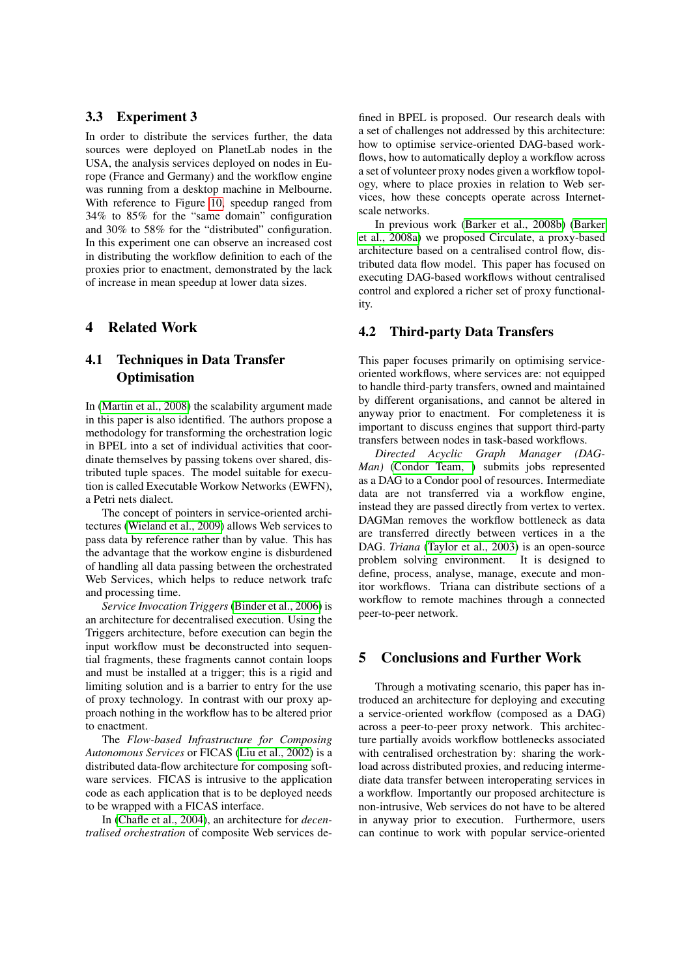#### 3.3 Experiment 3

In order to distribute the services further, the data sources were deployed on PlanetLab nodes in the USA, the analysis services deployed on nodes in Europe (France and Germany) and the workflow engine was running from a desktop machine in Melbourne. With reference to Figure [10,](#page-7-2) speedup ranged from 34% to 85% for the "same domain" configuration and 30% to 58% for the "distributed" configuration. In this experiment one can observe an increased cost in distributing the workflow definition to each of the proxies prior to enactment, demonstrated by the lack of increase in mean speedup at lower data sizes.

## <span id="page-8-0"></span>4 Related Work

## 4.1 Techniques in Data Transfer **Optimisation**

In [\(Martin et al., 2008\)](#page-9-10) the scalability argument made in this paper is also identified. The authors propose a methodology for transforming the orchestration logic in BPEL into a set of individual activities that coordinate themselves by passing tokens over shared, distributed tuple spaces. The model suitable for execution is called Executable Workow Networks (EWFN), a Petri nets dialect.

The concept of pointers in service-oriented architectures [\(Wieland et al., 2009\)](#page-9-11) allows Web services to pass data by reference rather than by value. This has the advantage that the workow engine is disburdened of handling all data passing between the orchestrated Web Services, which helps to reduce network trafc and processing time.

*Service Invocation Triggers* [\(Binder et al., 2006\)](#page-9-12) is an architecture for decentralised execution. Using the Triggers architecture, before execution can begin the input workflow must be deconstructed into sequential fragments, these fragments cannot contain loops and must be installed at a trigger; this is a rigid and limiting solution and is a barrier to entry for the use of proxy technology. In contrast with our proxy approach nothing in the workflow has to be altered prior to enactment.

The *Flow-based Infrastructure for Composing Autonomous Services* or FICAS [\(Liu et al., 2002\)](#page-9-13) is a distributed data-flow architecture for composing software services. FICAS is intrusive to the application code as each application that is to be deployed needs to be wrapped with a FICAS interface.

In [\(Chafle et al., 2004\)](#page-9-14), an architecture for *decentralised orchestration* of composite Web services de-

fined in BPEL is proposed. Our research deals with a set of challenges not addressed by this architecture: how to optimise service-oriented DAG-based workflows, how to automatically deploy a workflow across a set of volunteer proxy nodes given a workflow topology, where to place proxies in relation to Web services, how these concepts operate across Internetscale networks.

In previous work [\(Barker et al., 2008b\)](#page-9-15) [\(Barker](#page-9-16) [et al., 2008a\)](#page-9-16) we proposed Circulate, a proxy-based architecture based on a centralised control flow, distributed data flow model. This paper has focused on executing DAG-based workflows without centralised control and explored a richer set of proxy functionality.

### 4.2 Third-party Data Transfers

This paper focuses primarily on optimising serviceoriented workflows, where services are: not equipped to handle third-party transfers, owned and maintained by different organisations, and cannot be altered in anyway prior to enactment. For completeness it is important to discuss engines that support third-party transfers between nodes in task-based workflows.

*Directed Acyclic Graph Manager (DAG-Man)* [\(Condor Team, \)](#page-9-17) submits jobs represented as a DAG to a Condor pool of resources. Intermediate data are not transferred via a workflow engine, instead they are passed directly from vertex to vertex. DAGMan removes the workflow bottleneck as data are transferred directly between vertices in a the DAG. *Triana* [\(Taylor et al., 2003\)](#page-9-18) is an open-source problem solving environment. It is designed to define, process, analyse, manage, execute and monitor workflows. Triana can distribute sections of a workflow to remote machines through a connected peer-to-peer network.

# <span id="page-8-1"></span>5 Conclusions and Further Work

Through a motivating scenario, this paper has introduced an architecture for deploying and executing a service-oriented workflow (composed as a DAG) across a peer-to-peer proxy network. This architecture partially avoids workflow bottlenecks associated with centralised orchestration by: sharing the workload across distributed proxies, and reducing intermediate data transfer between interoperating services in a workflow. Importantly our proposed architecture is non-intrusive, Web services do not have to be altered in anyway prior to execution. Furthermore, users can continue to work with popular service-oriented